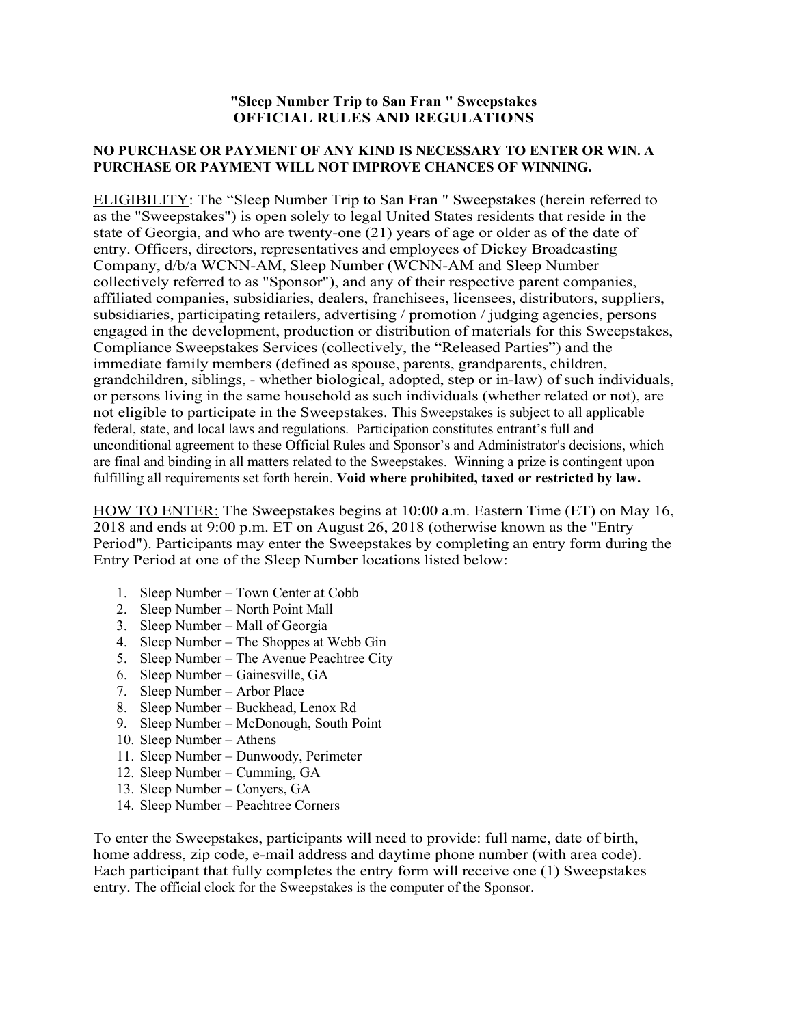## "Sleep Number Trip to San Fran " Sweepstakes OFFICIAL RULES AND REGULATIONS

## NO PURCHASE OR PAYMENT OF ANY KIND IS NECESSARY TO ENTER OR WIN. A PURCHASE OR PAYMENT WILL NOT IMPROVE CHANCES OF WINNING.

ELIGIBILITY: The "Sleep Number Trip to San Fran " Sweepstakes (herein referred to as the "Sweepstakes") is open solely to legal United States residents that reside in the state of Georgia, and who are twenty-one (21) years of age or older as of the date of entry. Officers, directors, representatives and employees of Dickey Broadcasting Company, d/b/a WCNN-AM, Sleep Number (WCNN-AM and Sleep Number collectively referred to as "Sponsor"), and any of their respective parent companies, affiliated companies, subsidiaries, dealers, franchisees, licensees, distributors, suppliers, subsidiaries, participating retailers, advertising / promotion / judging agencies, persons engaged in the development, production or distribution of materials for this Sweepstakes, Compliance Sweepstakes Services (collectively, the "Released Parties") and the immediate family members (defined as spouse, parents, grandparents, children, grandchildren, siblings, - whether biological, adopted, step or in-law) of such individuals, or persons living in the same household as such individuals (whether related or not), are not eligible to participate in the Sweepstakes. This Sweepstakes is subject to all applicable federal, state, and local laws and regulations. Participation constitutes entrant's full and unconditional agreement to these Official Rules and Sponsor's and Administrator's decisions, which are final and binding in all matters related to the Sweepstakes. Winning a prize is contingent upon fulfilling all requirements set forth herein. Void where prohibited, taxed or restricted by law.

HOW TO ENTER: The Sweepstakes begins at 10:00 a.m. Eastern Time (ET) on May 16, 2018 and ends at 9:00 p.m. ET on August 26, 2018 (otherwise known as the "Entry Period"). Participants may enter the Sweepstakes by completing an entry form during the Entry Period at one of the Sleep Number locations listed below:

- 1. Sleep Number Town Center at Cobb
- 2. Sleep Number North Point Mall
- 3. Sleep Number Mall of Georgia
- 4. Sleep Number The Shoppes at Webb Gin
- 5. Sleep Number The Avenue Peachtree City
- 6. Sleep Number Gainesville, GA
- 7. Sleep Number Arbor Place
- 8. Sleep Number Buckhead, Lenox Rd
- 9. Sleep Number McDonough, South Point
- 10. Sleep Number Athens
- 11. Sleep Number Dunwoody, Perimeter
- 12. Sleep Number Cumming, GA
- 13. Sleep Number Conyers, GA
- 14. Sleep Number Peachtree Corners

To enter the Sweepstakes, participants will need to provide: full name, date of birth, home address, zip code, e-mail address and daytime phone number (with area code). Each participant that fully completes the entry form will receive one (1) Sweepstakes entry. The official clock for the Sweepstakes is the computer of the Sponsor.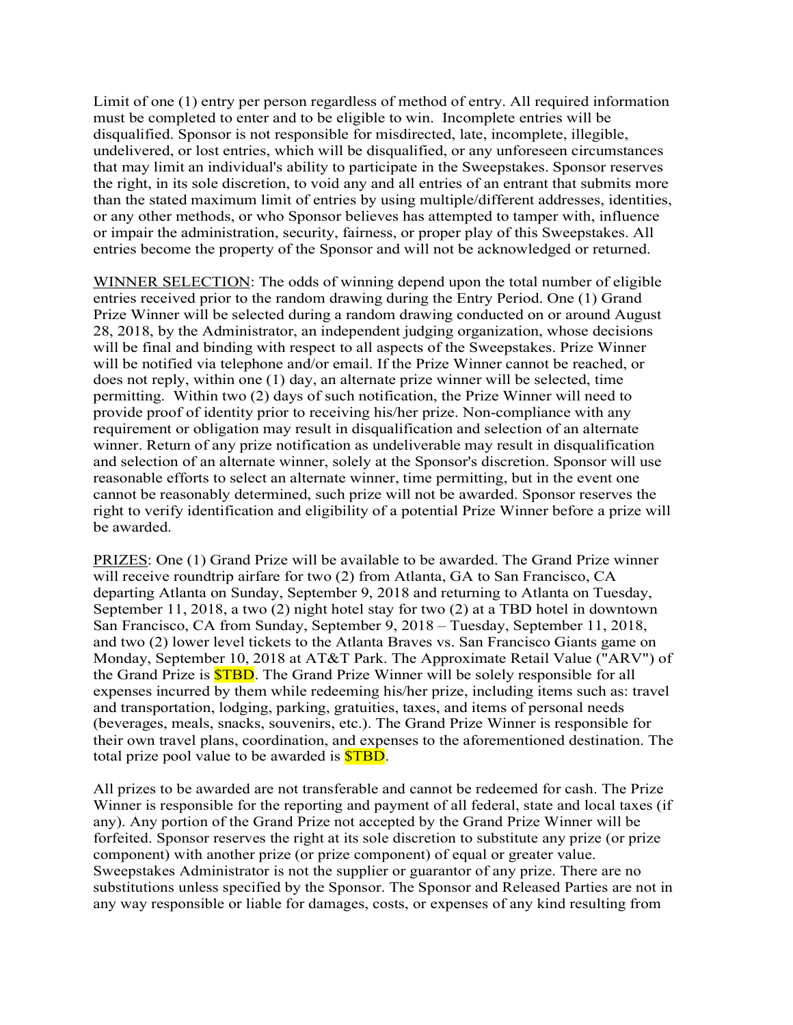Limit of one (1) entry per person regardless of method of entry. All required information must be completed to enter and to be eligible to win. Incomplete entries will be disqualified. Sponsor is not responsible for misdirected, late, incomplete, illegible, undelivered, or lost entries, which will be disqualified, or any unforeseen circumstances that may limit an individual's ability to participate in the Sweepstakes. Sponsor reserves the right, in its sole discretion, to void any and all entries of an entrant that submits more than the stated maximum limit of entries by using multiple/different addresses, identities, or any other methods, or who Sponsor believes has attempted to tamper with, influence or impair the administration, security, fairness, or proper play of this Sweepstakes. All entries become the property of the Sponsor and will not be acknowledged or returned.

WINNER SELECTION: The odds of winning depend upon the total number of eligible entries received prior to the random drawing during the Entry Period. One (1) Grand Prize Winner will be selected during a random drawing conducted on or around August 28, 2018, by the Administrator, an independent judging organization, whose decisions will be final and binding with respect to all aspects of the Sweepstakes. Prize Winner will be notified via telephone and/or email. If the Prize Winner cannot be reached, or does not reply, within one (1) day, an alternate prize winner will be selected, time permitting. Within two (2) days of such notification, the Prize Winner will need to provide proof of identity prior to receiving his/her prize. Non-compliance with any requirement or obligation may result in disqualification and selection of an alternate winner. Return of any prize notification as undeliverable may result in disqualification and selection of an alternate winner, solely at the Sponsor's discretion. Sponsor will use reasonable efforts to select an alternate winner, time permitting, but in the event one cannot be reasonably determined, such prize will not be awarded. Sponsor reserves the right to verify identification and eligibility of a potential Prize Winner before a prize will be awarded.

PRIZES: One (1) Grand Prize will be available to be awarded. The Grand Prize winner will receive roundtrip airfare for two (2) from Atlanta, GA to San Francisco, CA departing Atlanta on Sunday, September 9, 2018 and returning to Atlanta on Tuesday, September 11, 2018, a two (2) night hotel stay for two (2) at a TBD hotel in downtown San Francisco, CA from Sunday, September 9, 2018 – Tuesday, September 11, 2018, and two (2) lower level tickets to the Atlanta Braves vs. San Francisco Giants game on Monday, September 10, 2018 at AT&T Park. The Approximate Retail Value ("ARV") of the Grand Prize is \$TBD. The Grand Prize Winner will be solely responsible for all expenses incurred by them while redeeming his/her prize, including items such as: travel and transportation, lodging, parking, gratuities, taxes, and items of personal needs (beverages, meals, snacks, souvenirs, etc.). The Grand Prize Winner is responsible for their own travel plans, coordination, and expenses to the aforementioned destination. The total prize pool value to be awarded is **\$TBD**.

All prizes to be awarded are not transferable and cannot be redeemed for cash. The Prize Winner is responsible for the reporting and payment of all federal, state and local taxes (if any). Any portion of the Grand Prize not accepted by the Grand Prize Winner will be forfeited. Sponsor reserves the right at its sole discretion to substitute any prize (or prize component) with another prize (or prize component) of equal or greater value. Sweepstakes Administrator is not the supplier or guarantor of any prize. There are no substitutions unless specified by the Sponsor. The Sponsor and Released Parties are not in any way responsible or liable for damages, costs, or expenses of any kind resulting from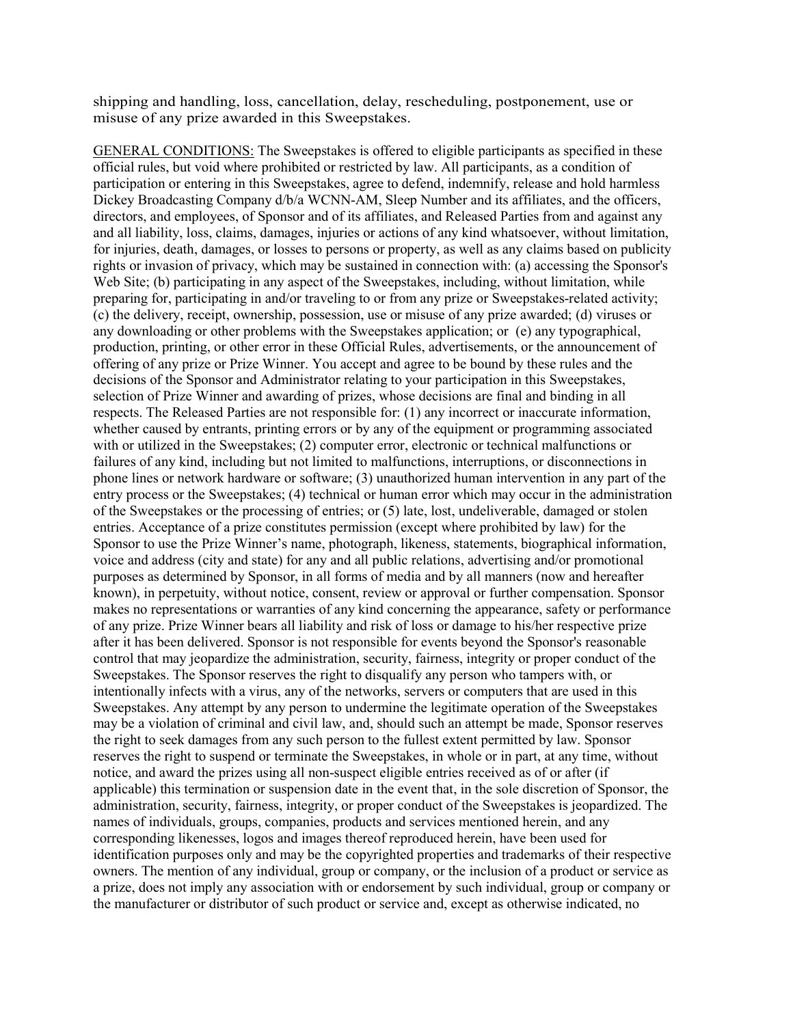shipping and handling, loss, cancellation, delay, rescheduling, postponement, use or misuse of any prize awarded in this Sweepstakes.

GENERAL CONDITIONS: The Sweepstakes is offered to eligible participants as specified in these official rules, but void where prohibited or restricted by law. All participants, as a condition of participation or entering in this Sweepstakes, agree to defend, indemnify, release and hold harmless Dickey Broadcasting Company d/b/a WCNN-AM, Sleep Number and its affiliates, and the officers, directors, and employees, of Sponsor and of its affiliates, and Released Parties from and against any and all liability, loss, claims, damages, injuries or actions of any kind whatsoever, without limitation, for injuries, death, damages, or losses to persons or property, as well as any claims based on publicity rights or invasion of privacy, which may be sustained in connection with: (a) accessing the Sponsor's Web Site; (b) participating in any aspect of the Sweepstakes, including, without limitation, while preparing for, participating in and/or traveling to or from any prize or Sweepstakes-related activity; (c) the delivery, receipt, ownership, possession, use or misuse of any prize awarded; (d) viruses or any downloading or other problems with the Sweepstakes application; or (e) any typographical, production, printing, or other error in these Official Rules, advertisements, or the announcement of offering of any prize or Prize Winner. You accept and agree to be bound by these rules and the decisions of the Sponsor and Administrator relating to your participation in this Sweepstakes, selection of Prize Winner and awarding of prizes, whose decisions are final and binding in all respects. The Released Parties are not responsible for: (1) any incorrect or inaccurate information, whether caused by entrants, printing errors or by any of the equipment or programming associated with or utilized in the Sweepstakes; (2) computer error, electronic or technical malfunctions or failures of any kind, including but not limited to malfunctions, interruptions, or disconnections in phone lines or network hardware or software; (3) unauthorized human intervention in any part of the entry process or the Sweepstakes; (4) technical or human error which may occur in the administration of the Sweepstakes or the processing of entries; or (5) late, lost, undeliverable, damaged or stolen entries. Acceptance of a prize constitutes permission (except where prohibited by law) for the Sponsor to use the Prize Winner's name, photograph, likeness, statements, biographical information, voice and address (city and state) for any and all public relations, advertising and/or promotional purposes as determined by Sponsor, in all forms of media and by all manners (now and hereafter known), in perpetuity, without notice, consent, review or approval or further compensation. Sponsor makes no representations or warranties of any kind concerning the appearance, safety or performance of any prize. Prize Winner bears all liability and risk of loss or damage to his/her respective prize after it has been delivered. Sponsor is not responsible for events beyond the Sponsor's reasonable control that may jeopardize the administration, security, fairness, integrity or proper conduct of the Sweepstakes. The Sponsor reserves the right to disqualify any person who tampers with, or intentionally infects with a virus, any of the networks, servers or computers that are used in this Sweepstakes. Any attempt by any person to undermine the legitimate operation of the Sweepstakes may be a violation of criminal and civil law, and, should such an attempt be made, Sponsor reserves the right to seek damages from any such person to the fullest extent permitted by law. Sponsor reserves the right to suspend or terminate the Sweepstakes, in whole or in part, at any time, without notice, and award the prizes using all non-suspect eligible entries received as of or after (if applicable) this termination or suspension date in the event that, in the sole discretion of Sponsor, the administration, security, fairness, integrity, or proper conduct of the Sweepstakes is jeopardized. The names of individuals, groups, companies, products and services mentioned herein, and any corresponding likenesses, logos and images thereof reproduced herein, have been used for identification purposes only and may be the copyrighted properties and trademarks of their respective owners. The mention of any individual, group or company, or the inclusion of a product or service as a prize, does not imply any association with or endorsement by such individual, group or company or the manufacturer or distributor of such product or service and, except as otherwise indicated, no